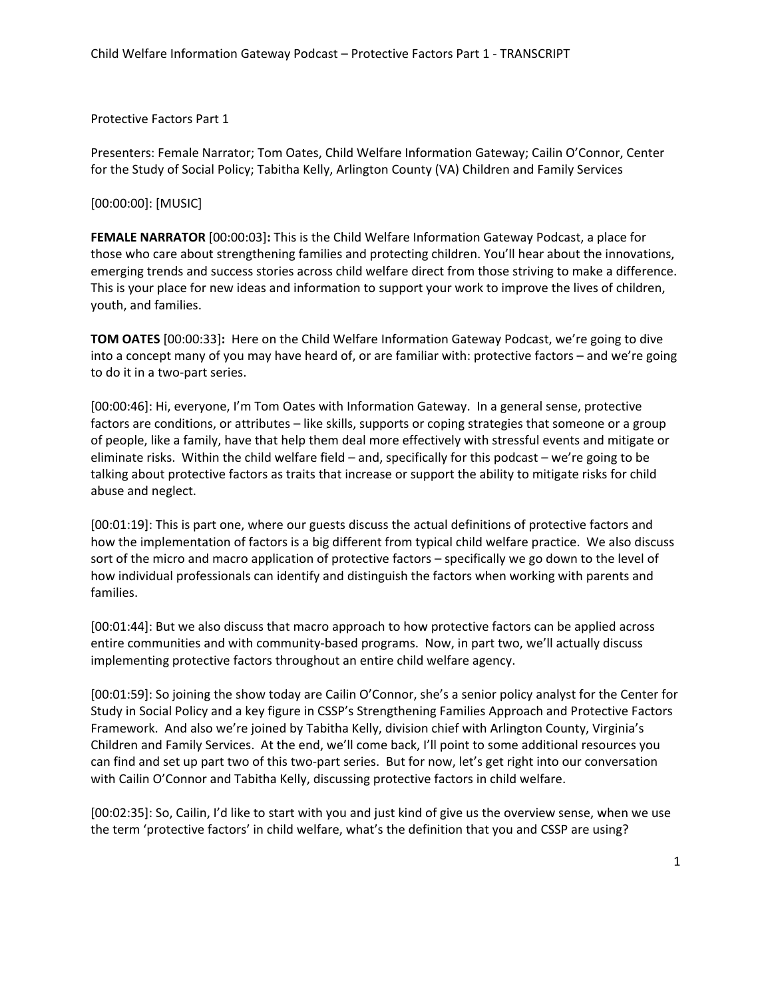Protective Factors Part 1

 for the Study of Social Policy; Tabitha Kelly, Arlington County (VA) Children and Family Services Presenters: Female Narrator; Tom Oates, Child Welfare Information Gateway; Cailin O'Connor, Center

[00:00:00]: [MUSIC]

 **FEMALE NARRATOR** [00:00:03]**:** This is the Child Welfare Information Gateway Podcast, a place for emerging trends and success stories across child welfare direct from those striving to make a difference. This is your place for new ideas and information to support your work to improve the lives of children, those who care about strengthening families and protecting children. You'll hear about the innovations, youth, and families.

 **TOM OATES** [00:00:33]**:** Here on the Child Welfare Information Gateway Podcast, we're going to dive into a concept many of you may have heard of, or are familiar with: protective factors – and we're going to do it in a two-part series.

 factors are conditions, or attributes – like skills, supports or coping strategies that someone or a group eliminate risks. Within the child welfare field – and, specifically for this podcast – we're going to be talking about protective factors as traits that increase or support the ability to mitigate risks for child [00:00:46]: Hi, everyone, I'm Tom Oates with Information Gateway. In a general sense, protective of people, like a family, have that help them deal more effectively with stressful events and mitigate or abuse and neglect.

 sort of the micro and macro application of protective factors – specifically we go down to the level of how individual professionals can identify and distinguish the factors when working with parents and families. [00:01:19]: This is part one, where our guests discuss the actual definitions of protective factors and how the implementation of factors is a big different from typical child welfare practice. We also discuss

[00:01:44]: But we also discuss that macro approach to how protective factors can be applied across entire communities and with community-based programs. Now, in part two, we'll actually discuss implementing protective factors throughout an entire child welfare agency.

 [00:01:59]: So joining the show today are Cailin O'Connor, she's a senior policy analyst for the Center for Study in Social Policy and a key figure in CSSP's Strengthening Families Approach and Protective Factors can find and set up part two of this two-part series. But for now, let's get right into our conversation with Cailin O'Connor and Tabitha Kelly, discussing protective factors in child welfare. Framework. And also we're joined by Tabitha Kelly, division chief with Arlington County, Virginia's Children and Family Services. At the end, we'll come back, I'll point to some additional resources you

[00:02:35]: So, Cailin, I'd like to start with you and just kind of give us the overview sense, when we use the term 'protective factors' in child welfare, what's the definition that you and CSSP are using?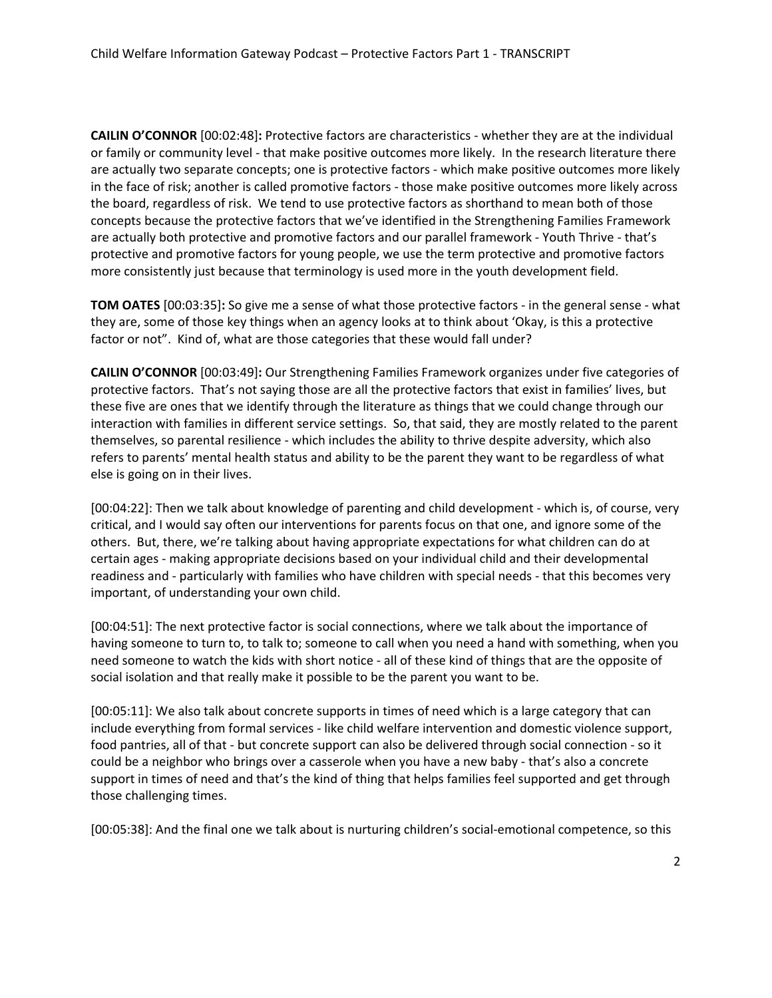**CAILIN O'CONNOR** [00:02:48]**:** Protective factors are characteristics - whether they are at the individual or family or community level - that make positive outcomes more likely. In the research literature there in the face of risk; another is called promotive factors - those make positive outcomes more likely across the board, regardless of risk. We tend to use protective factors as shorthand to mean both of those are actually both protective and promotive factors and our parallel framework - Youth Thrive - that's are actually two separate concepts; one is protective factors - which make positive outcomes more likely concepts because the protective factors that we've identified in the Strengthening Families Framework protective and promotive factors for young people, we use the term protective and promotive factors more consistently just because that terminology is used more in the youth development field.

 **TOM OATES** [00:03:35]**:** So give me a sense of what those protective factors - in the general sense - what they are, some of those key things when an agency looks at to think about 'Okay, is this a protective factor or not". Kind of, what are those categories that these would fall under?

 **CAILIN O'CONNOR** [00:03:49]**:** Our Strengthening Families Framework organizes under five categories of protective factors. That's not saying those are all the protective factors that exist in families' lives, but these five are ones that we identify through the literature as things that we could change through our interaction with families in different service settings. So, that said, they are mostly related to the parent themselves, so parental resilience - which includes the ability to thrive despite adversity, which also refers to parents' mental health status and ability to be the parent they want to be regardless of what else is going on in their lives.

 [00:04:22]: Then we talk about knowledge of parenting and child development - which is, of course, very critical, and I would say often our interventions for parents focus on that one, and ignore some of the others. But, there, we're talking about having appropriate expectations for what children can do at certain ages - making appropriate decisions based on your individual child and their developmental readiness and - particularly with families who have children with special needs - that this becomes very important, of understanding your own child.

 social isolation and that really make it possible to be the parent you want to be. [00:04:51]: The next protective factor is social connections, where we talk about the importance of having someone to turn to, to talk to; someone to call when you need a hand with something, when you need someone to watch the kids with short notice - all of these kind of things that are the opposite of

 [00:05:11]: We also talk about concrete supports in times of need which is a large category that can food pantries, all of that - but concrete support can also be delivered through social connection - so it could be a neighbor who brings over a casserole when you have a new baby - that's also a concrete include everything from formal services - like child welfare intervention and domestic violence support, support in times of need and that's the kind of thing that helps families feel supported and get through those challenging times.

[00:05:38]: And the final one we talk about is nurturing children's social-emotional competence, so this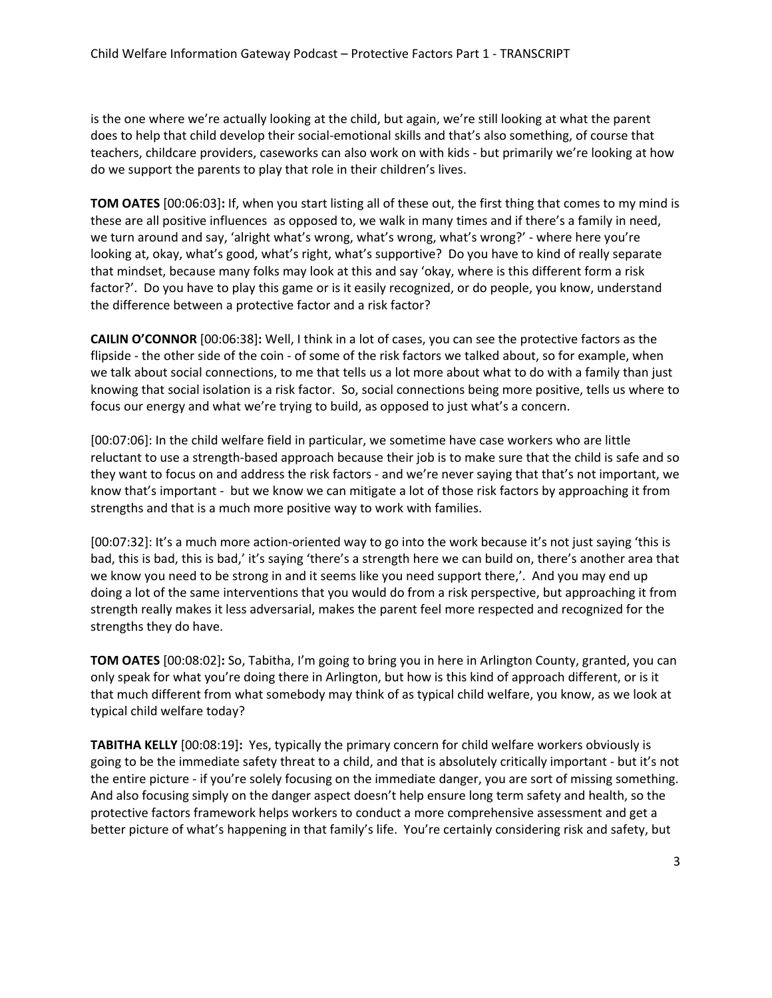is the one where we're actually looking at the child, but again, we're still looking at what the parent does to help that child develop their social-emotional skills and that's also something, of course that teachers, childcare providers, caseworks can also work on with kids - but primarily we're looking at how do we support the parents to play that role in their children's lives.

 **TOM OATES** [00:06:03]**:** If, when you start listing all of these out, the first thing that comes to my mind is these are all positive influences as opposed to, we walk in many times and if there's a family in need, looking at, okay, what's good, what's right, what's supportive? Do you have to kind of really separate that mindset, because many folks may look at this and say 'okay, where is this different form a risk we turn around and say, 'alright what's wrong, what's wrong, what's wrong?' - where here you're factor?'. Do you have to play this game or is it easily recognized, or do people, you know, understand the difference between a protective factor and a risk factor?

 **CAILIN O'CONNOR** [00:06:38]**:** Well, I think in a lot of cases, you can see the protective factors as the flipside - the other side of the coin - of some of the risk factors we talked about, so for example, when we talk about social connections, to me that tells us a lot more about what to do with a family than just knowing that social isolation is a risk factor. So, social connections being more positive, tells us where to focus our energy and what we're trying to build, as opposed to just what's a concern.

 reluctant to use a strength-based approach because their job is to make sure that the child is safe and so they want to focus on and address the risk factors - and we're never saying that that's not important, we know that's important - but we know we can mitigate a lot of those risk factors by approaching it from [00:07:06]: In the child welfare field in particular, we sometime have case workers who are little strengths and that is a much more positive way to work with families.

 bad, this is bad, this is bad,' it's saying 'there's a strength here we can build on, there's another area that [00:07:32]: It's a much more action-oriented way to go into the work because it's not just saying 'this is we know you need to be strong in and it seems like you need support there,'. And you may end up doing a lot of the same interventions that you would do from a risk perspective, but approaching it from strength really makes it less adversarial, makes the parent feel more respected and recognized for the strengths they do have.

 **TOM OATES** [00:08:02]**:** So, Tabitha, I'm going to bring you in here in Arlington County, granted, you can that much different from what somebody may think of as typical child welfare, you know, as we look at only speak for what you're doing there in Arlington, but how is this kind of approach different, or is it typical child welfare today?

 **TABITHA KELLY** [00:08:19]**:** Yes, typically the primary concern for child welfare workers obviously is going to be the immediate safety threat to a child, and that is absolutely critically important - but it's not the entire picture - if you're solely focusing on the immediate danger, you are sort of missing something. the entire picture - if you're solely focusing on the immediate danger, you are sort of missing something.<br>And also focusing simply on the danger aspect doesn't help ensure long term safety and health, so the protective factors framework helps workers to conduct a more comprehensive assessment and get a better picture of what's happening in that family's life. You're certainly considering risk and safety, but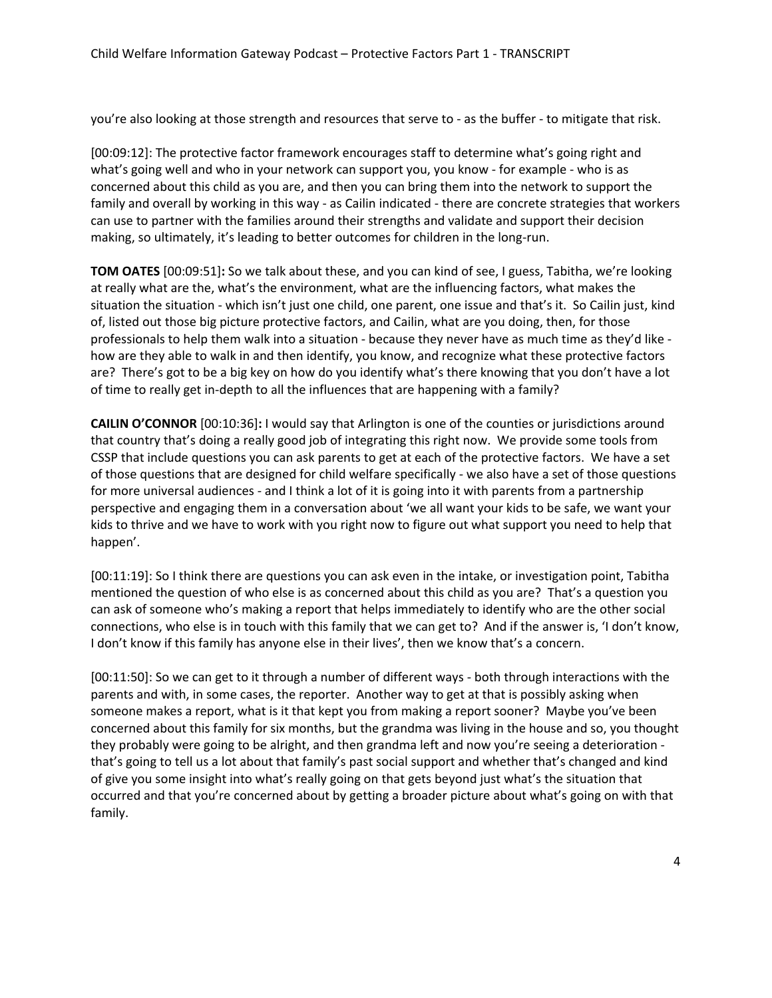you're also looking at those strength and resources that serve to - as the buffer - to mitigate that risk.

 what's going well and who in your network can support you, you know - for example - who is as [00:09:12]: The protective factor framework encourages staff to determine what's going right and concerned about this child as you are, and then you can bring them into the network to support the family and overall by working in this way - as Cailin indicated - there are concrete strategies that workers can use to partner with the families around their strengths and validate and support their decision making, so ultimately, it's leading to better outcomes for children in the long-run.

 **TOM OATES** [00:09:51]**:** So we talk about these, and you can kind of see, I guess, Tabitha, we're looking at really what are the, what's the environment, what are the influencing factors, what makes the are? There's got to be a big key on how do you identify what's there knowing that you don't have a lot of time to really get in-depth to all the influences that are happening with a family? situation the situation - which isn't just one child, one parent, one issue and that's it. So Cailin just, kind of, listed out those big picture protective factors, and Cailin, what are you doing, then, for those professionals to help them walk into a situation - because they never have as much time as they'd like how are they able to walk in and then identify, you know, and recognize what these protective factors

 **CAILIN O'CONNOR** [00:10:36]**:** I would say that Arlington is one of the counties or jurisdictions around CSSP that include questions you can ask parents to get at each of the protective factors. We have a set of those questions that are designed for child welfare specifically - we also have a set of those questions for more universal audiences - and I think a lot of it is going into it with parents from a partnership kids to thrive and we have to work with you right now to figure out what support you need to help that that country that's doing a really good job of integrating this right now. We provide some tools from perspective and engaging them in a conversation about 'we all want your kids to be safe, we want your happen'.

 mentioned the question of who else is as concerned about this child as you are? That's a question you connections, who else is in touch with this family that we can get to? And if the answer is, 'I don't know, I don't know if this family has anyone else in their lives', then we know that's a concern. [00:11:19]: So I think there are questions you can ask even in the intake, or investigation point, Tabitha can ask of someone who's making a report that helps immediately to identify who are the other social

 [00:11:50]: So we can get to it through a number of different ways - both through interactions with the someone makes a report, what is it that kept you from making a report sooner? Maybe you've been that's going to tell us a lot about that family's past social support and whether that's changed and kind of give you some insight into what's really going on that gets beyond just what's the situation that occurred and that you're concerned about by getting a broader picture about what's going on with that parents and with, in some cases, the reporter. Another way to get at that is possibly asking when concerned about this family for six months, but the grandma was living in the house and so, you thought they probably were going to be alright, and then grandma left and now you're seeing a deterioration family.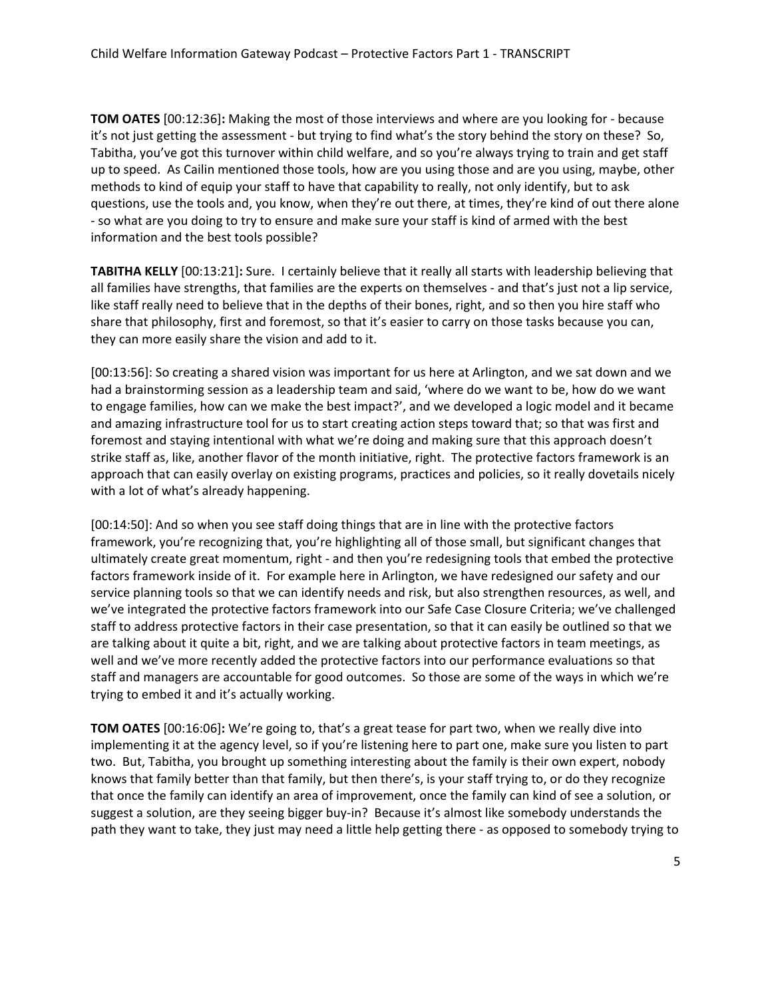**TOM OATES** [00:12:36]**:** Making the most of those interviews and where are you looking for - because it's not just getting the assessment - but trying to find what's the story behind the story on these? So, up to speed. As Cailin mentioned those tools, how are you using those and are you using, maybe, other questions, use the tools and, you know, when they're out there, at times, they're kind of out there alone Tabitha, you've got this turnover within child welfare, and so you're always trying to train and get staff methods to kind of equip your staff to have that capability to really, not only identify, but to ask - so what are you doing to try to ensure and make sure your staff is kind of armed with the best information and the best tools possible?

 **TABITHA KELLY** [00:13:21]**:** Sure. I certainly believe that it really all starts with leadership believing that all families have strengths, that families are the experts on themselves - and that's just not a lip service, like staff really need to believe that in the depths of their bones, right, and so then you hire staff who share that philosophy, first and foremost, so that it's easier to carry on those tasks because you can, they can more easily share the vision and add to it.

 had a brainstorming session as a leadership team and said, 'where do we want to be, how do we want to engage families, how can we make the best impact?', and we developed a logic model and it became foremost and staying intentional with what we're doing and making sure that this approach doesn't [00:13:56]: So creating a shared vision was important for us here at Arlington, and we sat down and we and amazing infrastructure tool for us to start creating action steps toward that; so that was first and strike staff as, like, another flavor of the month initiative, right. The protective factors framework is an approach that can easily overlay on existing programs, practices and policies, so it really dovetails nicely with a lot of what's already happening.

 [00:14:50]: And so when you see staff doing things that are in line with the protective factors factors framework inside of it. For example here in Arlington, we have redesigned our safety and our service planning tools so that we can identify needs and risk, but also strengthen resources, as well, and staff to address protective factors in their case presentation, so that it can easily be outlined so that we framework, you're recognizing that, you're highlighting all of those small, but significant changes that ultimately create great momentum, right - and then you're redesigning tools that embed the protective we've integrated the protective factors framework into our Safe Case Closure Criteria; we've challenged are talking about it quite a bit, right, and we are talking about protective factors in team meetings, as well and we've more recently added the protective factors into our performance evaluations so that staff and managers are accountable for good outcomes. So those are some of the ways in which we're trying to embed it and it's actually working.

 **TOM OATES** [00:16:06]**:** We're going to, that's a great tease for part two, when we really dive into two. But, Tabitha, you brought up something interesting about the family is their own expert, nobody that once the family can identify an area of improvement, once the family can kind of see a solution, or path they want to take, they just may need a little help getting there - as opposed to somebody trying to implementing it at the agency level, so if you're listening here to part one, make sure you listen to part knows that family better than that family, but then there's, is your staff trying to, or do they recognize suggest a solution, are they seeing bigger buy-in? Because it's almost like somebody understands the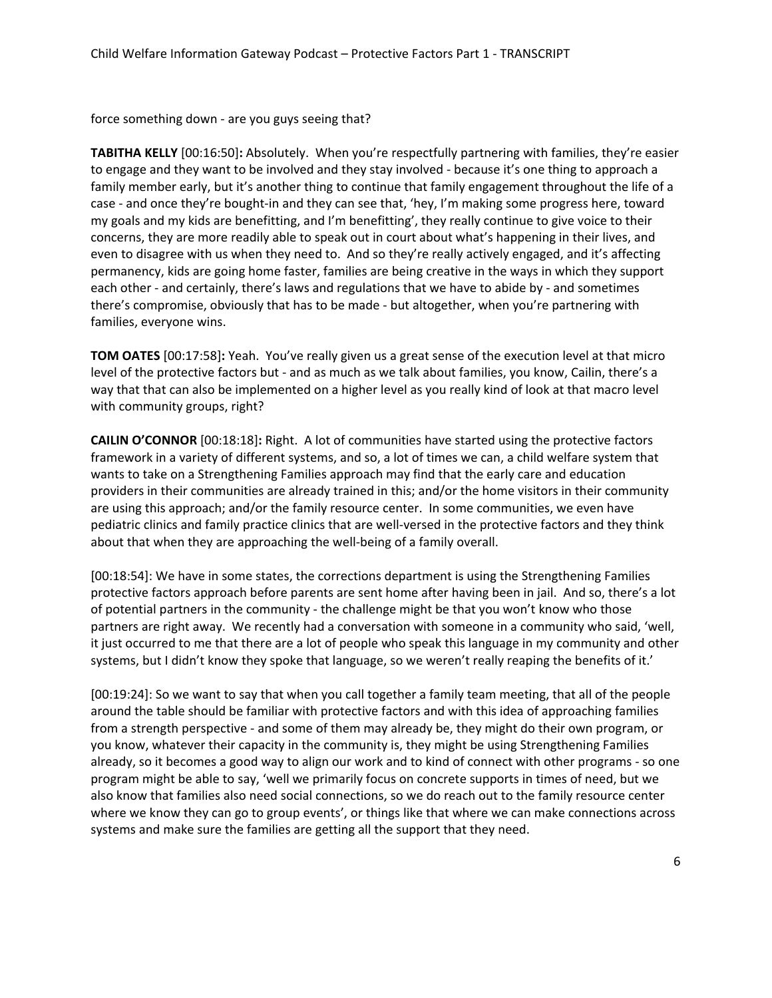force something down - are you guys seeing that?

 **TABITHA KELLY** [00:16:50]**:** Absolutely. When you're respectfully partnering with families, they're easier family member early, but it's another thing to continue that family engagement throughout the life of a even to disagree with us when they need to. And so they're really actively engaged, and it's affecting there's compromise, obviously that has to be made - but altogether, when you're partnering with to engage and they want to be involved and they stay involved - because it's one thing to approach a case - and once they're bought-in and they can see that, 'hey, I'm making some progress here, toward my goals and my kids are benefitting, and I'm benefitting', they really continue to give voice to their concerns, they are more readily able to speak out in court about what's happening in their lives, and permanency, kids are going home faster, families are being creative in the ways in which they support each other - and certainly, there's laws and regulations that we have to abide by - and sometimes families, everyone wins.

 **TOM OATES** [00:17:58]**:** Yeah. You've really given us a great sense of the execution level at that micro way that that can also be implemented on a higher level as you really kind of look at that macro level with community groups, right? level of the protective factors but - and as much as we talk about families, you know, Cailin, there's a

 **CAILIN O'CONNOR** [00:18:18]**:** Right. A lot of communities have started using the protective factors pediatric clinics and family practice clinics that are well-versed in the protective factors and they think framework in a variety of different systems, and so, a lot of times we can, a child welfare system that wants to take on a Strengthening Families approach may find that the early care and education providers in their communities are already trained in this; and/or the home visitors in their community are using this approach; and/or the family resource center. In some communities, we even have about that when they are approaching the well-being of a family overall.

 [00:18:54]: We have in some states, the corrections department is using the Strengthening Families systems, but I didn't know they spoke that language, so we weren't really reaping the benefits of it.' protective factors approach before parents are sent home after having been in jail. And so, there's a lot of potential partners in the community - the challenge might be that you won't know who those partners are right away. We recently had a conversation with someone in a community who said, 'well, it just occurred to me that there are a lot of people who speak this language in my community and other

 [00:19:24]: So we want to say that when you call together a family team meeting, that all of the people around the table should be familiar with protective factors and with this idea of approaching families from a strength perspective - and some of them may already be, they might do their own program, or you know, whatever their capacity in the community is, they might be using Strengthening Families already, so it becomes a good way to align our work and to kind of connect with other programs - so one program might be able to say, 'well we primarily focus on concrete supports in times of need, but we also know that families also need social connections, so we do reach out to the family resource center where we know they can go to group events', or things like that where we can make connections across systems and make sure the families are getting all the support that they need.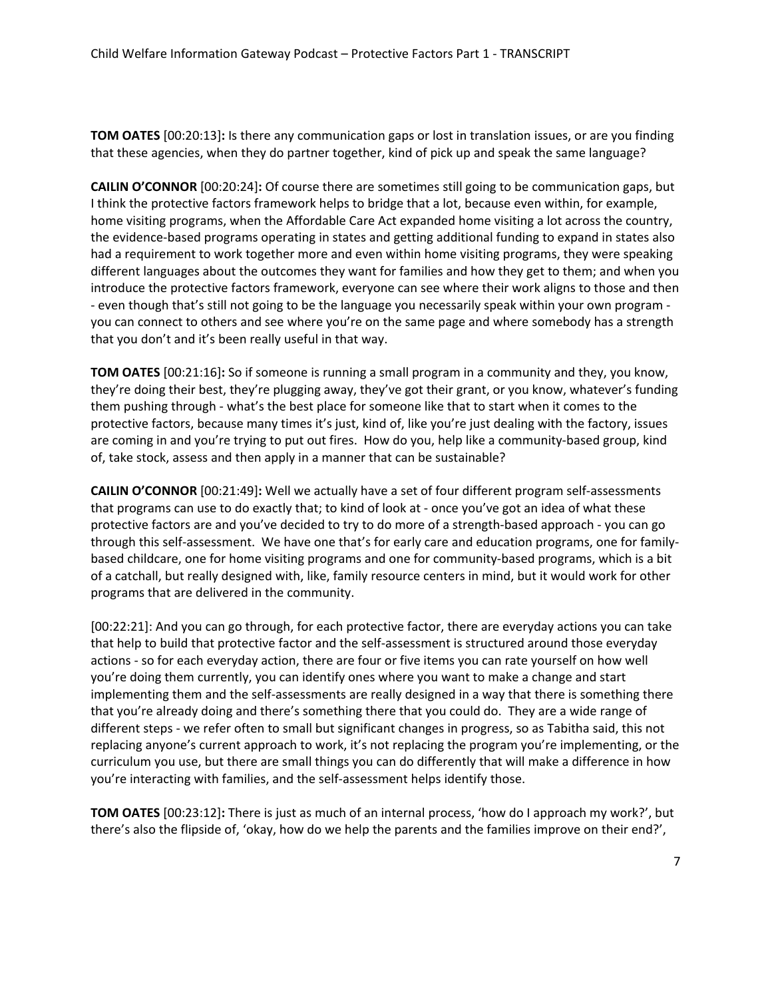**TOM OATES** [00:20:13]**:** Is there any communication gaps or lost in translation issues, or are you finding that these agencies, when they do partner together, kind of pick up and speak the same language?

 **CAILIN O'CONNOR** [00:20:24]**:** Of course there are sometimes still going to be communication gaps, but I think the protective factors framework helps to bridge that a lot, because even within, for example, the evidence-based programs operating in states and getting additional funding to expand in states also had a requirement to work together more and even within home visiting programs, they were speaking different languages about the outcomes they want for families and how they get to them; and when you that you don't and it's been really useful in that way. home visiting programs, when the Affordable Care Act expanded home visiting a lot across the country, introduce the protective factors framework, everyone can see where their work aligns to those and then - even though that's still not going to be the language you necessarily speak within your own program you can connect to others and see where you're on the same page and where somebody has a strength

 **TOM OATES** [00:21:16]**:** So if someone is running a small program in a community and they, you know, them pushing through - what's the best place for someone like that to start when it comes to the protective factors, because many times it's just, kind of, like you're just dealing with the factory, issues are coming in and you're trying to put out fires. How do you, help like a community-based group, kind they're doing their best, they're plugging away, they've got their grant, or you know, whatever's funding of, take stock, assess and then apply in a manner that can be sustainable?

 **CAILIN O'CONNOR** [00:21:49]**:** Well we actually have a set of four different program self-assessments that programs can use to do exactly that; to kind of look at - once you've got an idea of what these protective factors are and you've decided to try to do more of a strength-based approach - you can go through this self-assessment. We have one that's for early care and education programs, one for familybased childcare, one for home visiting programs and one for community-based programs, which is a bit of a catchall, but really designed with, like, family resource centers in mind, but it would work for other programs that are delivered in the community.

 that you're already doing and there's something there that you could do. They are a wide range of different steps - we refer often to small but significant changes in progress, so as Tabitha said, this not [00:22:21]: And you can go through, for each protective factor, there are everyday actions you can take that help to build that protective factor and the self-assessment is structured around those everyday actions - so for each everyday action, there are four or five items you can rate yourself on how well you're doing them currently, you can identify ones where you want to make a change and start implementing them and the self-assessments are really designed in a way that there is something there replacing anyone's current approach to work, it's not replacing the program you're implementing, or the curriculum you use, but there are small things you can do differently that will make a difference in how you're interacting with families, and the self-assessment helps identify those.

 **TOM OATES** [00:23:12]**:** There is just as much of an internal process, 'how do I approach my work?', but there's also the flipside of, 'okay, how do we help the parents and the families improve on their end?',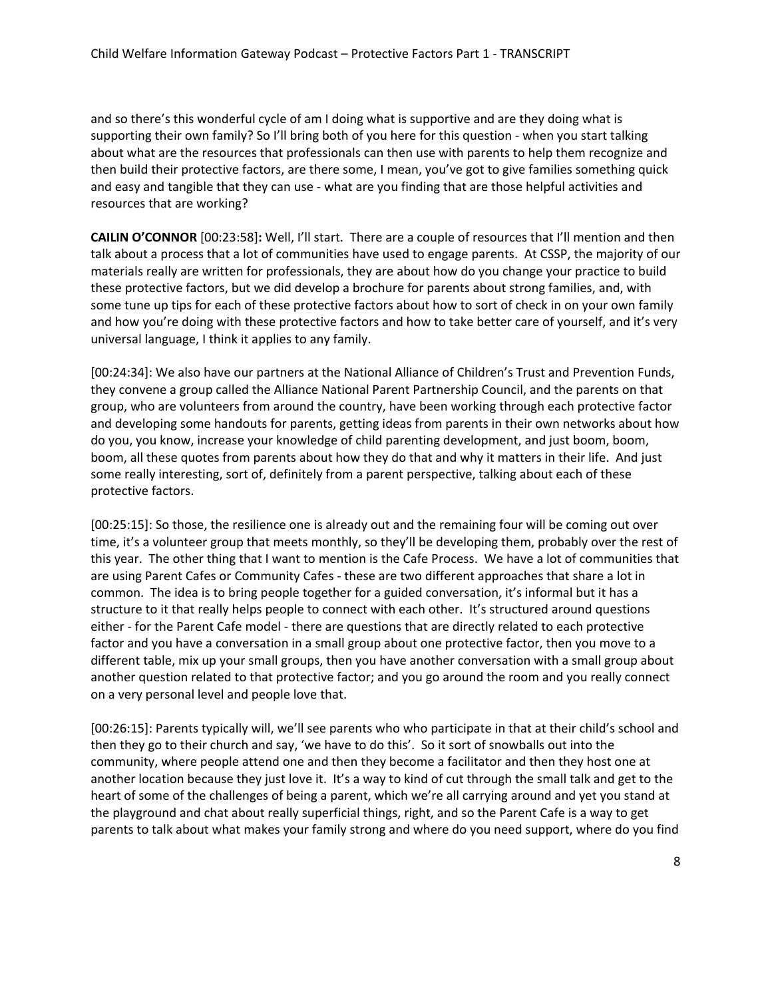supporting their own family? So I'll bring both of you here for this question - when you start talking and easy and tangible that they can use - what are you finding that are those helpful activities and and so there's this wonderful cycle of am I doing what is supportive and are they doing what is about what are the resources that professionals can then use with parents to help them recognize and then build their protective factors, are there some, I mean, you've got to give families something quick resources that are working?

 **CAILIN O'CONNOR** [00:23:58]**:** Well, I'll start. There are a couple of resources that I'll mention and then and how you're doing with these protective factors and how to take better care of yourself, and it's very universal language, I think it applies to any family. talk about a process that a lot of communities have used to engage parents. At CSSP, the majority of our materials really are written for professionals, they are about how do you change your practice to build these protective factors, but we did develop a brochure for parents about strong families, and, with some tune up tips for each of these protective factors about how to sort of check in on your own family

 some really interesting, sort of, definitely from a parent perspective, talking about each of these [00:24:34]: We also have our partners at the National Alliance of Children's Trust and Prevention Funds, they convene a group called the Alliance National Parent Partnership Council, and the parents on that group, who are volunteers from around the country, have been working through each protective factor and developing some handouts for parents, getting ideas from parents in their own networks about how do you, you know, increase your knowledge of child parenting development, and just boom, boom, boom, all these quotes from parents about how they do that and why it matters in their life. And just protective factors.

 time, it's a volunteer group that meets monthly, so they'll be developing them, probably over the rest of are using Parent Cafes or Community Cafes - these are two different approaches that share a lot in common. The idea is to bring people together for a guided conversation, it's informal but it has a [00:25:15]: So those, the resilience one is already out and the remaining four will be coming out over this year. The other thing that I want to mention is the Cafe Process. We have a lot of communities that structure to it that really helps people to connect with each other. It's structured around questions either - for the Parent Cafe model - there are questions that are directly related to each protective factor and you have a conversation in a small group about one protective factor, then you move to a different table, mix up your small groups, then you have another conversation with a small group about another question related to that protective factor; and you go around the room and you really connect on a very personal level and people love that.

 [00:26:15]: Parents typically will, we'll see parents who who participate in that at their child's school and then they go to their church and say, 'we have to do this'. So it sort of snowballs out into the another location because they just love it. It's a way to kind of cut through the small talk and get to the the playground and chat about really superficial things, right, and so the Parent Cafe is a way to get community, where people attend one and then they become a facilitator and then they host one at heart of some of the challenges of being a parent, which we're all carrying around and yet you stand at parents to talk about what makes your family strong and where do you need support, where do you find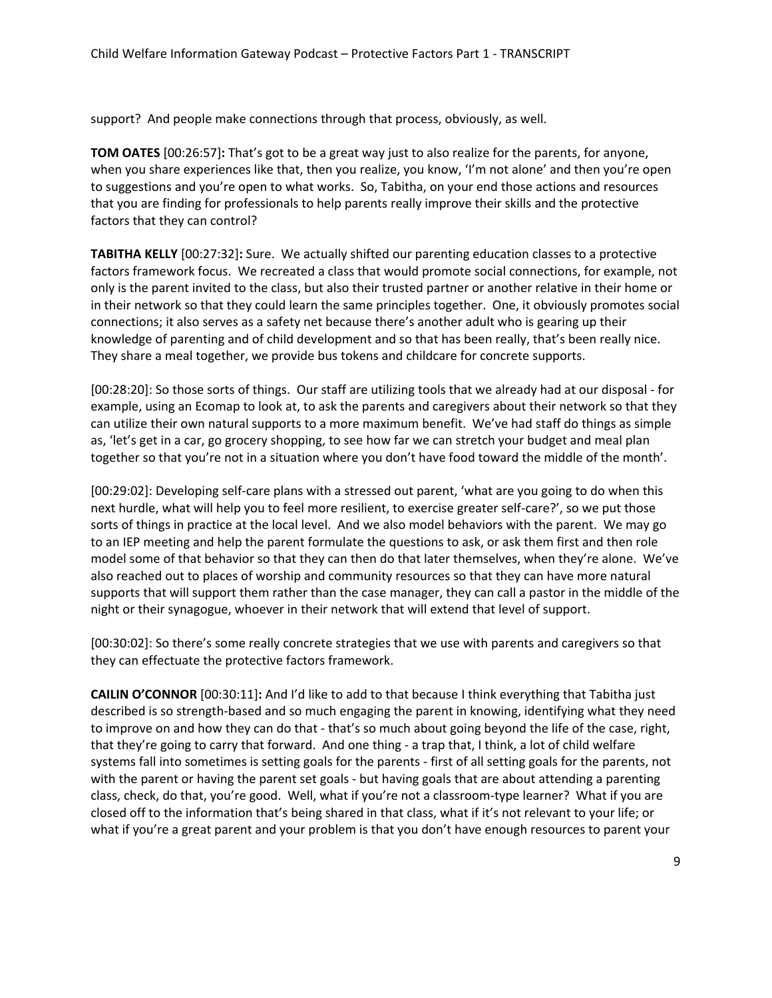support? And people make connections through that process, obviously, as well.

 **TOM OATES** [00:26:57]**:** That's got to be a great way just to also realize for the parents, for anyone, that you are finding for professionals to help parents really improve their skills and the protective when you share experiences like that, then you realize, you know, 'I'm not alone' and then you're open to suggestions and you're open to what works. So, Tabitha, on your end those actions and resources factors that they can control?

 **TABITHA KELLY** [00:27:32]**:** Sure. We actually shifted our parenting education classes to a protective factors framework focus. We recreated a class that would promote social connections, for example, not connections; it also serves as a safety net because there's another adult who is gearing up their knowledge of parenting and of child development and so that has been really, that's been really nice.<br>They share a meal together, we provide bus tokens and childcare for concrete supports. They share a meal together, we provide bus tokens and childcare for concrete supports. only is the parent invited to the class, but also their trusted partner or another relative in their home or in their network so that they could learn the same principles together. One, it obviously promotes social

 [00:28:20]: So those sorts of things. Our staff are utilizing tools that we already had at our disposal - for example, using an Ecomap to look at, to ask the parents and caregivers about their network so that they as, 'let's get in a car, go grocery shopping, to see how far we can stretch your budget and meal plan can utilize their own natural supports to a more maximum benefit. We've had staff do things as simple together so that you're not in a situation where you don't have food toward the middle of the month'.

 [00:29:02]: Developing self-care plans with a stressed out parent, 'what are you going to do when this next hurdle, what will help you to feel more resilient, to exercise greater self-care?', so we put those sorts of things in practice at the local level. And we also model behaviors with the parent. We may go to an IEP meeting and help the parent formulate the questions to ask, or ask them first and then role model some of that behavior so that they can then do that later themselves, when they're alone. We've also reached out to places of worship and community resources so that they can have more natural supports that will support them rather than the case manager, they can call a pastor in the middle of the night or their synagogue, whoever in their network that will extend that level of support.

 they can effectuate the protective factors framework. [00:30:02]: So there's some really concrete strategies that we use with parents and caregivers so that

 **CAILIN O'CONNOR** [00:30:11]**:** And I'd like to add to that because I think everything that Tabitha just to improve on and how they can do that - that's so much about going beyond the life of the case, right, that they're going to carry that forward. And one thing - a trap that, I think, a lot of child welfare systems fall into sometimes is setting goals for the parents - first of all setting goals for the parents, not class, check, do that, you're good. Well, what if you're not a classroom-type learner? What if you are what if you're a great parent and your problem is that you don't have enough resources to parent your described is so strength-based and so much engaging the parent in knowing, identifying what they need with the parent or having the parent set goals - but having goals that are about attending a parenting closed off to the information that's being shared in that class, what if it's not relevant to your life; or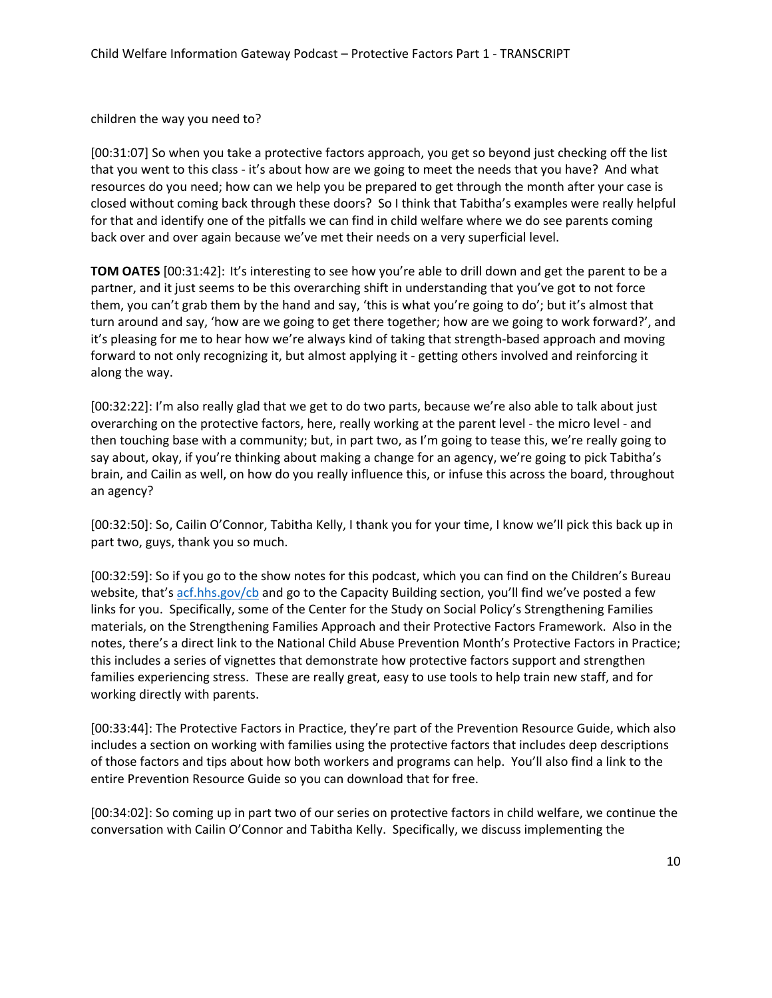children the way you need to?

 [00:31:07] So when you take a protective factors approach, you get so beyond just checking off the list that you went to this class - it's about how are we going to meet the needs that you have? And what resources do you need; how can we help you be prepared to get through the month after your case is closed without coming back through these doors? So I think that Tabitha's examples were really helpful for that and identify one of the pitfalls we can find in child welfare where we do see parents coming back over and over again because we've met their needs on a very superficial level.

 **TOM OATES** [00:31:42]: It's interesting to see how you're able to drill down and get the parent to be a them, you can't grab them by the hand and say, 'this is what you're going to do'; but it's almost that turn around and say, 'how are we going to get there together; how are we going to work forward?', and partner, and it just seems to be this overarching shift in understanding that you've got to not force it's pleasing for me to hear how we're always kind of taking that strength-based approach and moving forward to not only recognizing it, but almost applying it - getting others involved and reinforcing it along the way.

 [00:32:22]: I'm also really glad that we get to do two parts, because we're also able to talk about just then touching base with a community; but, in part two, as I'm going to tease this, we're really going to an agency? overarching on the protective factors, here, really working at the parent level - the micro level - and say about, okay, if you're thinking about making a change for an agency, we're going to pick Tabitha's brain, and Cailin as well, on how do you really influence this, or infuse this across the board, throughout

an agency?<br>[00:32:50]: So, Cailin O'Connor, Tabitha Kelly, I thank you for your time, I know we'll pick this back up in part two, guys, thank you so much.

 [00:32:59]: So if you go to the show notes for this podcast, which you can find on the Children's Bureau website, that's [acf.hhs.gov/cb](https://www.acf.hhs.gov/cb/) and go to the Capacity Building section, you'll find we've posted a few families experiencing stress. These are really great, easy to use tools to help train new staff, and for links for you. Specifically, some of the Center for the Study on Social Policy's Strengthening Families materials, on the Strengthening Families Approach and their Protective Factors Framework. Also in the notes, there's a direct link to the National Child Abuse Prevention Month's Protective Factors in Practice; this includes a series of vignettes that demonstrate how protective factors support and strengthen working directly with parents.

[00:33:44]: The Protective Factors in Practice, they're part of the Prevention Resource Guide, which also includes a section on working with families using the protective factors that includes deep descriptions of those factors and tips about how both workers and programs can help. You'll also find a link to the entire Prevention Resource Guide so you can download that for free.

 conversation with Cailin O'Connor and Tabitha Kelly. Specifically, we discuss implementing the [00:34:02]: So coming up in part two of our series on protective factors in child welfare, we continue the